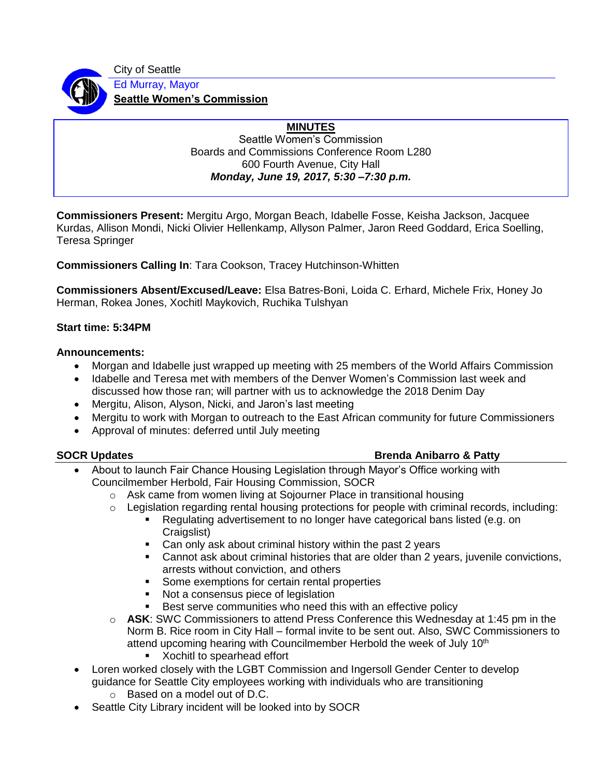City of Seattle



Ed Murray, Mayor **Seattle Women's Commission**

# **MINUTES**

Seattle Women's Commission Boards and Commissions Conference Room L280 600 Fourth Avenue, City Hall *Monday, June 19, 2017, 5:30 –7:30 p.m.*

**Commissioners Present:** Mergitu Argo, Morgan Beach, Idabelle Fosse, Keisha Jackson, Jacquee Kurdas, Allison Mondi, Nicki Olivier Hellenkamp, Allyson Palmer, Jaron Reed Goddard, Erica Soelling, Teresa Springer

**Commissioners Calling In**: Tara Cookson, Tracey Hutchinson-Whitten

**Commissioners Absent/Excused/Leave:** Elsa Batres-Boni, Loida C. Erhard, Michele Frix, Honey Jo Herman, Rokea Jones, Xochitl Maykovich, Ruchika Tulshyan

### **Start time: 5:34PM**

### **Announcements:**

- Morgan and Idabelle just wrapped up meeting with 25 members of the World Affairs Commission
- Idabelle and Teresa met with members of the Denver Women's Commission last week and discussed how those ran; will partner with us to acknowledge the 2018 Denim Day
- Mergitu, Alison, Alyson, Nicki, and Jaron's last meeting
- Mergitu to work with Morgan to outreach to the East African community for future Commissioners
- Approval of minutes: deferred until July meeting

# **SOCR Updates Brenda Anibarro & Patty Brenda Anibarro & Patty**

- About to launch Fair Chance Housing Legislation through Mayor's Office working with Councilmember Herbold, Fair Housing Commission, SOCR
	- $\circ$  Ask came from women living at Sojourner Place in transitional housing
	- o Legislation regarding rental housing protections for people with criminal records, including:
		- Regulating advertisement to no longer have categorical bans listed (e.g. on Craigslist)
		- Can only ask about criminal history within the past 2 years
		- Cannot ask about criminal histories that are older than 2 years, juvenile convictions, arrests without conviction, and others
		- Some exemptions for certain rental properties
		- Not a consensus piece of legislation
		- Best serve communities who need this with an effective policy
	- o **ASK**: SWC Commissioners to attend Press Conference this Wednesday at 1:45 pm in the Norm B. Rice room in City Hall – formal invite to be sent out. Also, SWC Commissioners to attend upcoming hearing with Councilmember Herbold the week of July 10<sup>th</sup>
		- Xochitl to spearhead effort
- Loren worked closely with the LGBT Commission and Ingersoll Gender Center to develop guidance for Seattle City employees working with individuals who are transitioning
	- o Based on a model out of D.C.
- Seattle City Library incident will be looked into by SOCR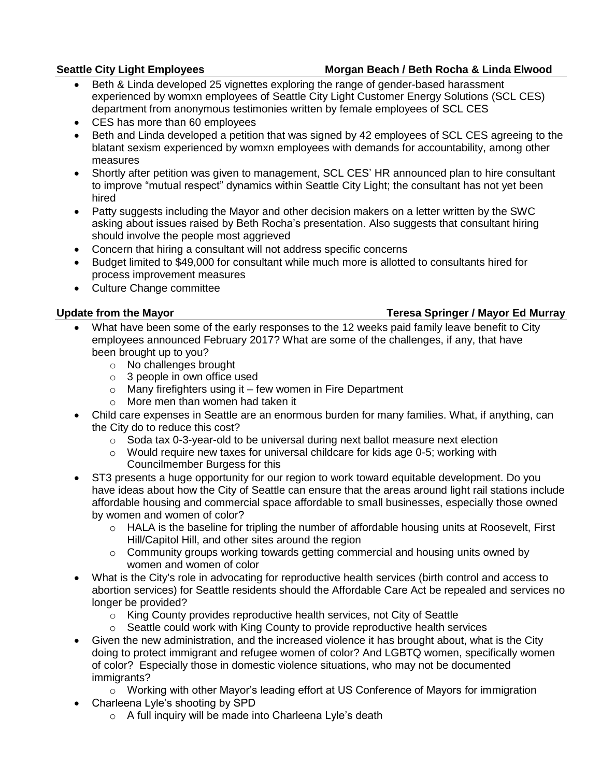# Seattle City Light Employees **Morgan Beach / Beth Rocha & Linda Elwood**

- Beth & Linda developed 25 vignettes exploring the range of gender-based harassment experienced by womxn employees of Seattle City Light Customer Energy Solutions (SCL CES) department from anonymous testimonies written by female employees of SCL CES
- CES has more than 60 employees
- Beth and Linda developed a petition that was signed by 42 employees of SCL CES agreeing to the blatant sexism experienced by womxn employees with demands for accountability, among other measures
- Shortly after petition was given to management, SCL CES' HR announced plan to hire consultant to improve "mutual respect" dynamics within Seattle City Light; the consultant has not yet been hired
- Patty suggests including the Mayor and other decision makers on a letter written by the SWC asking about issues raised by Beth Rocha's presentation. Also suggests that consultant hiring should involve the people most aggrieved
- Concern that hiring a consultant will not address specific concerns
- Budget limited to \$49,000 for consultant while much more is allotted to consultants hired for process improvement measures
- Culture Change committee

### **Update from the Mayor Teresa Springer / Mayor Ed Murray**

- What have been some of the early responses to the 12 weeks paid family leave benefit to City employees announced February 2017? What are some of the challenges, if any, that have been brought up to you?
	- o No challenges brought
	- $\circ$  3 people in own office used
	- $\circ$  Many firefighters using it few women in Fire Department
	- o More men than women had taken it
- Child care expenses in Seattle are an enormous burden for many families. What, if anything, can the City do to reduce this cost?
	- $\circ$  Soda tax 0-3-year-old to be universal during next ballot measure next election
	- $\circ$  Would require new taxes for universal childcare for kids age 0-5; working with Councilmember Burgess for this
- ST3 presents a huge opportunity for our region to work toward equitable development. Do you have ideas about how the City of Seattle can ensure that the areas around light rail stations include affordable housing and commercial space affordable to small businesses, especially those owned by women and women of color?
	- $\circ$  HALA is the baseline for tripling the number of affordable housing units at Roosevelt, First Hill/Capitol Hill, and other sites around the region
	- $\circ$  Community groups working towards getting commercial and housing units owned by women and women of color
- What is the City's role in advocating for reproductive health services (birth control and access to abortion services) for Seattle residents should the Affordable Care Act be repealed and services no longer be provided?
	- o King County provides reproductive health services, not City of Seattle
	- $\circ$  Seattle could work with King County to provide reproductive health services
- Given the new administration, and the increased violence it has brought about, what is the City doing to protect immigrant and refugee women of color? And LGBTQ women, specifically women of color? Especially those in domestic violence situations, who may not be documented immigrants?
	- o Working with other Mayor's leading effort at US Conference of Mayors for immigration
- Charleena Lyle's shooting by SPD
	- $\circ$  A full inquiry will be made into Charleena Lyle's death